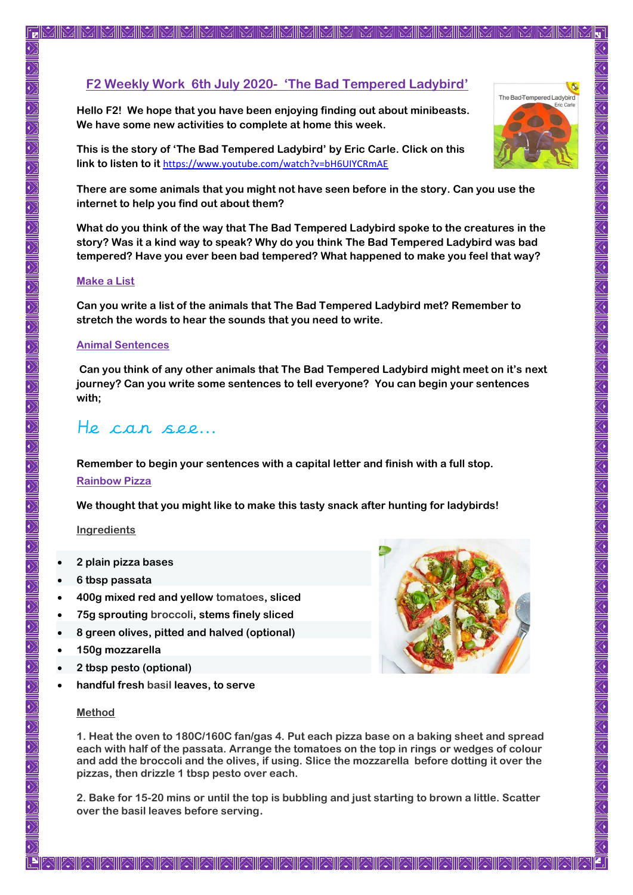**Hello F2! We hope that you have been enjoying finding out about minibeasts. We have some new activities to complete at home this week.** 

**This is the story of 'The Bad Tempered Ladybird' by Eric Carle. Click on this link to listen to it** <https://www.youtube.com/watch?v=bH6UIYCRmAE>

**There are some animals that you might not have seen before in the story. Can you use the internet to help you find out about them?**

**What do you think of the way that The Bad Tempered Ladybird spoke to the creatures in the story? Was it a kind way to speak? Why do you think The Bad Tempered Ladybird was bad tempered? Have you ever been bad tempered? What happened to make you feel that way?**

#### **Make a List**

**Can you write a list of the animals that The Bad Tempered Ladybird met? Remember to stretch the words to hear the sounds that you need to write.**

#### **Animal Sentences**

**Can you think of any other animals that The Bad Tempered Ladybird might meet on it's next journey? Can you write some sentences to tell everyone? You can begin your sentences with;**

# He can see...

**Remember to begin your sentences with a capital letter and finish with a full stop.**

# **Rainbow Pizza**

**We thought that you might like to make this tasty snack after hunting for ladybirds!**

## **Ingredients**

- **2 plain pizza bases**
- **6 tbsp passata**
- **400g mixed red and yellow [tomatoes,](https://www.bbcgoodfood.com/glossary/tomato) sliced**
- **75g sprouting [broccoli,](https://www.bbcgoodfood.com/glossary/broccoli) stems finely sliced**
- **8 green olives, pitted and halved (optional)**
- **150g mozzarella**
- **2 tbsp pesto (optional)**
- **handful fresh [basil](https://www.bbcgoodfood.com/glossary/basil) leaves, to serve**

## **Method**

**1. Heat the oven to 180C/160C fan/gas 4. Put each pizza base on a baking sheet and spread each with half of the passata. Arrange the tomatoes on the top in rings or wedges of colour and add the broccoli and the olives, if using. Slice the mozzarella before dotting it over the pizzas, then drizzle 1 tbsp pesto over each.**

**2. Bake for 15-20 mins or until the top is bubbling and just starting to brown a little. Scatter over the basil leaves before serving.**